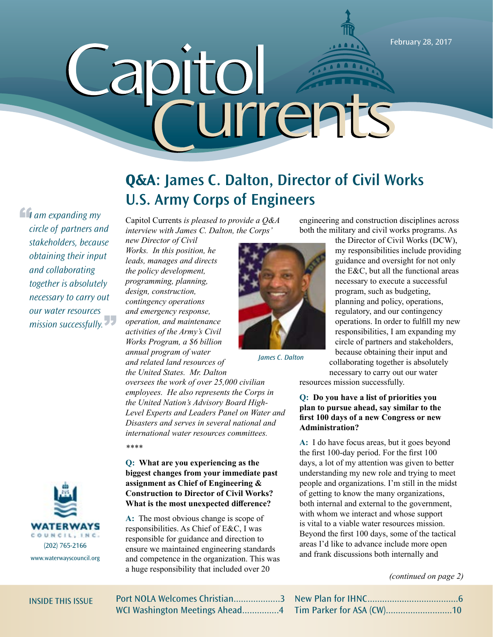February 28, 2017

# *Capitol Currents* w October 6, 2015 1 rrents  $\bm{\mathsf{U}}$

*If* am expanding my circle of partners and mission successfully. *circle of partners and stakeholders, because obtaining their input and collaborating together is absolutely necessary to carry out our water resources* 



# **Q&A: James C. Dalton, Director of Civil Works U.S. Army Corps of Engineers**

Capitol Currents *is pleased to provide a Q&A interview with James C. Dalton, the Corps'* 

*new Director of Civil Works. In this position, he leads, manages and directs the policy development, programming, planning, design, construction, contingency operations and emergency response, operation, and maintenance activities of the Army's Civil Works Program, a \$6 billion annual program of water and related land resources of the United States. Mr. Dalton* 



*James C. Dalton*

*oversees the work of over 25,000 civilian employees. He also represents the Corps in the United Nation's Advisory Board High-Level Experts and Leaders Panel on Water and Disasters and serves in several national and international water resources committees. \*\*\*\**

**Q: What are you experiencing as the biggest changes from your immediate past assignment as Chief of Engineering & Construction to Director of Civil Works? What is the most unexpected difference?**

**A:** The most obvious change is scope of responsibilities. As Chief of E&C, I was responsible for guidance and direction to ensure we maintained engineering standards and competence in the organization. This was a huge responsibility that included over 20

collaborating together is absolutely necessary to carry out our water resources mission successfully.

engineering and construction disciplines across both the military and civil works programs. As

> the Director of Civil Works (DCW), my responsibilities include providing guidance and oversight for not only the E&C, but all the functional areas necessary to execute a successful program, such as budgeting, planning and policy, operations, regulatory, and our contingency operations. In order to fulfill my new responsibilities, I am expanding my circle of partners and stakeholders, because obtaining their input and

### **Q: Do you have a list of priorities you plan to pursue ahead, say similar to the first 100 days of a new Congress or new Administration?**

**A:** I do have focus areas, but it goes beyond the first 100-day period. For the first 100 days, a lot of my attention was given to better understanding my new role and trying to meet people and organizations. I'm still in the midst of getting to know the many organizations, both internal and external to the government, with whom we interact and whose support is vital to a viable water resources mission. Beyond the first 100 days, some of the tactical areas I'd like to advance include more open and frank discussions both internally and

### *(continued on page 2)*

|  |  |  | INSIDE THIS ISSUE |  |  |
|--|--|--|-------------------|--|--|
|--|--|--|-------------------|--|--|

Port NOLA Welcomes Christian...................3 WCI Washington Meetings Ahead...............4

New Plan for IHNC.....................................6 Tim Parker for ASA (CW)...........................10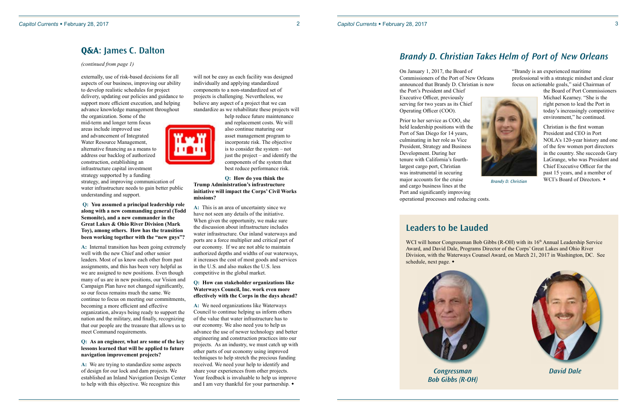### 2 *Capitol Currents* w February 28, 2017

externally, use of risk-based decisions for all aspects of our business, improving our ability to develop realistic schedules for project delivery, updating our policies and guidance to support more efficient execution, and helping advance knowledge management throughout

the organization. Some of the mid-term and longer term focus areas include improved use and advancement of Integrated Water Resource Management, alternative financing as a means to address our backlog of authorized construction, establishing an infrastructure capital investment strategy supported by a funding

strategy, and improving communication of water infrastructure needs to gain better public understanding and support.

**Q: You assumed a principal leadership role along with a new commanding general (Todd Semonite), and a new commander in the Great Lakes & Ohio River Division (Mark Toy), among others. How has the transition been working together with the "new guys"?**

**A:** Internal transition has been going extremely well with the new Chief and other senior leaders. Most of us know each other from past assignments, and this has been very helpful as we are assigned to new positions. Even though many of us are in new positions, our Vision and Campaign Plan have not changed significantly, so our focus remains much the same. We continue to focus on meeting our commitments, becoming a more efficient and effective organization, always being ready to support the nation and the military, and finally, recognizing that our people are the treasure that allows us to meet Command requirements.

**A:** We need organizations like Waterways Council to continue helping us inform others of the value that water infrastructure has to our economy. We also need you to help us advance the use of newer technology and better engineering and construction practices into our projects. As an industry, we must catch up with other parts of our economy using improved techniques to help stretch the precious funding received. We need your help to identify and share your experiences from other projects. Your feedback is invaluable to help us improve and I am very thankful for your partnership.  $\bullet$ 

### **Q: As an engineer, what are some of the key lessons learned that will be applied to future navigation improvement projects?**

**A:** We are trying to standardize some aspects of design for our lock and dam projects. We established an Inland Navigation Design Center to help with this objective. We recognize this

WCI will honor Congressman Bob Gibbs (R-OH) with its 16<sup>th</sup> Annual Leadership Service Award, and David Dale, Programs Director of the Corps' Great Lakes and Ohio River Division, with the Waterways Counsel Award, on March 21, 2017 in Washington, DC. See



will not be easy as each facility was designed individually and applying standardized components to a non-standardized set of projects is challenging. Nevertheless, we believe any aspect of a project that we can standardize as we rehabilitate these projects will



help reduce future maintenance and replacement costs. We will also continue maturing our asset management program to incorporate risk. The objective is to consider the system – not just the project – and identify the components of the system that best reduce performance risk.

### **Q: How do you think the Trump Administration's infrastructure initiative will impact the Corps' Civil Works missions?**

Christian is the first woman President and CEO in Port NOLA's 120-year history and one of the few women port directors in the country. She succeeds Gary LaGrange, who was President and Chief Executive Officer for the past 15 years, and a member of Brandy D. Christian **WCI's Board of Directors.** 

**A:** This is an area of uncertainty since we have not seen any details of the initiative. When given the opportunity, we make sure the discussion about infrastructure includes water infrastructure. Our inland waterways and ports are a force multiplier and critical part of our economy. If we are not able to maintain authorized depths and widths of our waterways, it increases the cost of most goods and services in the U.S. and also makes the U.S. less competitive in the global market.

### **Q: How can stakeholder organizations like Waterways Council, Inc. work even more effectively with the Corps in the days ahead?**

### **Q&A: James C. Dalton**

*(continued from page 1)*

### *Brandy D. Christian Takes Helm of Port of New Orleans*

# **Leaders to be Lauded**

schedule, next page. •



On January 1, 2017, the Board of Commissioners of the Port of New Orleans announced that Brandy D. Christian is now the Port's President and Chief Executive Officer, previously serving for two years as its Chief Operating Officer (COO). Prior to her service as COO, she

held leadership positions with the Port of San Diego for 14 years, culminating in her role as Vice President, Strategy and Business Development. During her tenure with California's fourthlargest cargo port, Christian was instrumental in securing major accounts for the cruise and cargo business lines at the Port and significantly improving operational processes and reducing costs.

"Brandy is an experienced maritime professional with a strategic mindset and clear focus on actionable goals," said Chairman of



the Board of Port Commissioners Michael Kearney. "She is the right person to lead the Port in today's increasingly competitive environment," he continued.

*Congressman Bob Gibbs (R-OH)* 

*David Dale*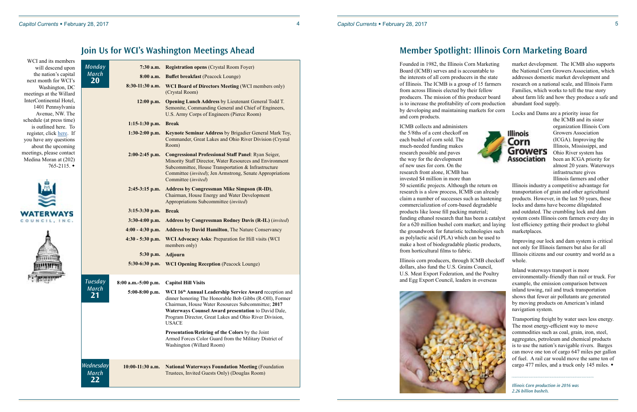### *Capitol Currents* w February 28, 2017 4 *Capitol Currents* w February 28, 2017 5

## **Join Us for WCI's Washington Meetings Ahead**

| WCI and its members<br>will descend upon                                           | <b>Monday</b>                   | $7:30$ a.m.         | <b>Registration opens (Crystal Room Foyer)</b>                                                                                                                                                                                                                                                                                     |
|------------------------------------------------------------------------------------|---------------------------------|---------------------|------------------------------------------------------------------------------------------------------------------------------------------------------------------------------------------------------------------------------------------------------------------------------------------------------------------------------------|
| the nation's capital                                                               | <b>March</b>                    |                     |                                                                                                                                                                                                                                                                                                                                    |
| next month for WCI's                                                               | <b>20</b>                       | 8:00 a.m.           | <b>Buffet breakfast (Peacock Lounge)</b>                                                                                                                                                                                                                                                                                           |
| Washington, DC<br>meetings at the Willard                                          |                                 | 8:30-11:30 a.m.     | <b>WCI Board of Directors Meeting (WCI members only)</b><br>(Crystal Room)                                                                                                                                                                                                                                                         |
| InterContinental Hotel,<br>1401 Pennsylvania<br>Avenue, NW. The                    |                                 | 12:00 p.m.          | <b>Opening Lunch Address by Lieutenant General Todd T.</b><br>Semonite, Commanding General and Chief of Engineers,<br>U.S. Army Corps of Engineers (Pierce Room)                                                                                                                                                                   |
| schedule (at press time)<br>is outlined here. To                                   |                                 | $1:15-1:30$ p.m.    | <b>Break</b>                                                                                                                                                                                                                                                                                                                       |
| register, click here. If                                                           |                                 | $1:30-2:00$ p.m.    | Keynote Seminar Address by Brigadier General Mark Toy,                                                                                                                                                                                                                                                                             |
| you have any questions<br>about the upcoming                                       |                                 |                     | Commander, Great Lakes and Ohio River Division (Crystal<br>Room)                                                                                                                                                                                                                                                                   |
| meetings, please contact<br>Medina Moran at (202)<br>$765 - 2115.$ $\triangleleft$ | $2:00-2:45$ p.m.                |                     | <b>Congressional Professional Staff Panel: Ryan Seiger,</b><br>Minority Staff Director, Water Resources and Environment<br>Subcommittee, House Transportation & Infrastructure<br>Committee (invited); Jen Armstrong, Senate Appropriations<br>Committee (invited)                                                                 |
|                                                                                    |                                 | $2:45-3:15$ p.m.    | <b>Address by Congressman Mike Simpson (R-ID),</b><br>Chairman, House Energy and Water Development<br>Appropriations Subcommittee (invited)                                                                                                                                                                                        |
|                                                                                    |                                 | 3:15-3:30 p.m.      | <b>Break</b>                                                                                                                                                                                                                                                                                                                       |
| COUNCI                                                                             | 3:30-4:00 p.m.                  |                     | <b>Address by Congressman Rodney Davis (R-IL)</b> (invited)                                                                                                                                                                                                                                                                        |
|                                                                                    |                                 | $4:00 - 4:30$ p.m.  | <b>Address by David Hamilton, The Nature Conservancy</b>                                                                                                                                                                                                                                                                           |
|                                                                                    |                                 | $4:30 - 5:30$ p.m.  | WCI Advocacy Asks: Preparation for Hill visits (WCI<br>members only)                                                                                                                                                                                                                                                               |
|                                                                                    |                                 | 5:30 p.m.           | <b>Adjourn</b>                                                                                                                                                                                                                                                                                                                     |
|                                                                                    |                                 | $5:30-6:30$ p.m.    | <b>WCI Opening Reception (Peacock Lounge)</b>                                                                                                                                                                                                                                                                                      |
|                                                                                    | <b>Tuesday</b>                  | 8:00 a.m.-5:00 p.m. | <b>Capitol Hill Visits</b>                                                                                                                                                                                                                                                                                                         |
|                                                                                    | <b>March</b><br>21              |                     | 5:00-8:00 p.m. WCI 16 <sup>th</sup> Annual Leadership Service Award reception and<br>dinner honoring The Honorable Bob Gibbs (R-OH), Former<br>Chairman, House Water Resources Subcommittee; 2017<br>Waterways Counsel Award presentation to David Dale,<br>Program Director, Great Lakes and Ohio River Division,<br><b>USACE</b> |
|                                                                                    |                                 |                     | Presentation/Retiring of the Colors by the Joint<br>Armed Forces Color Guard from the Military District of<br>Washington (Willard Room)                                                                                                                                                                                            |
|                                                                                    | Wednesday<br><b>March</b><br>22 | $10:00-11:30$ a.m.  | <b>National Waterways Foundation Meeting (Foundation</b><br>Trustees, Invited Guests Only) (Douglas Room)                                                                                                                                                                                                                          |

Transporting freight by water uses less energy. The most energy-efficient way to move commodities such as coal, grain, iron, steel, aggregates, petroleum and chemical products is to use the nation's navigable rivers. Barges can move one ton of cargo 647 miles per gallon of fuel. A rail car would move the same ton of cargo 477 miles, and a truck only 145 miles.  $\bullet$ 

Founded in 1982, the Illinois Corn Marketing Board (ICMB) serves and is accountable to the interests of all corn producers in the state of Illinois. The ICMB is a group of 15 farmers from across Illinois elected by their fellow producers. The mission of this producer board is to increase the profitability of corn production by developing and maintaining markets for corn and corn products.

dollars, also fund the U.S. Grains Council, U.S. Meat Export Federation, and the Poultry and Egg Export Council, leaders in overseas



ICMB collects and administers organization Illinois Corn the 5/8ths of a cent checkoff on **Illinois** Growers Association (ICGA). Improving the each bushel of corn sold. The Corn much-needed funding makes Illinois, Mississippi, and **Growers** research possible and paves Ohio River system has **Association** been an ICGA priority for the way for the development of new uses for corn. On the almost 20 years. Waterways research front alone, ICMB has infrastructure gives invested \$4 million in more than Illinois farmers and other 50 scientific projects. Although the return on Illinois industry a competitive advantage for transportation of grain and other agricultural research is a slow process, ICMB can already claim a number of successes such as hastening products. However, in the last 50 years, these commercialization of corn-based degradable locks and dams have become dilapidated and outdated. The crumbling lock and dam products like loose fill packing material; funding ethanol research that has been a catalyst system costs Illinois corn farmers every day in for a 620 million bushel corn market; and laying lost efficiency getting their product to global the groundwork for futuristic technologies such marketplaces. as polylactic acid (PLA) which can be used to Improving our lock and dam system is critical make a host of biodegradable plastic products, not only for Illinois farmers but also for all from horticultural films to fabric. Illinois citizens and our country and world as a Illinois corn producers, through ICMB checkoff whole.

market development. The ICMB also supports the National Corn Growers Association, which addresses domestic market development and research on a national scale, and Illinois Farm Families, which works to tell the true story about farm life and how they produce a safe and abundant food supply.

Locks and Dams are a priority issue for



the ICMB and its sister

Inland waterways transport is more environmentally-friendly than rail or truck. For example, the emission comparison between inland towing, rail and truck transportation shows that fewer air pollutants are generated by moving products on American's inland navigation system.

*Illinois Corn production in 2016 was 2.26 billion bushels.*

# **Member Spotlight: Illinois Corn Marketing Board**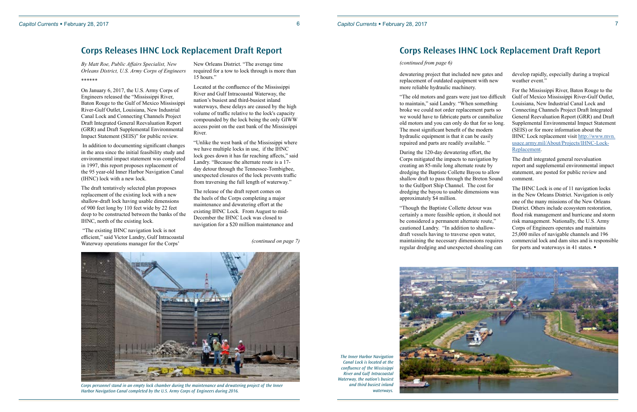*By Matt Roe, Public Affairs Specialist, New Orleans District, U.S. Army Corps of Engineers* \*\*\*\*\*\*

On January 6, 2017, the U.S. Army Corps of Engineers released the "Mississippi River, Baton Rouge to the Gulf of Mexico Mississippi River-Gulf Outlet, Louisiana, New Industrial Canal Lock and Connecting Channels Project Draft Integrated General Reevaluation Report (GRR) and Draft Supplemental Environmental Impact Statement (SEIS)" for public review.

 In addition to documenting significant changes in the area since the initial feasibility study and environmental impact statement was completed in 1997, this report proposes replacement of the 95 year-old Inner Harbor Navigation Canal (IHNC) lock with a new lock.

The draft tentatively selected plan proposes replacement of the existing lock with a new shallow-draft lock having usable dimensions of 900 feet long by 110 feet wide by 22 feet deep to be constructed between the banks of the IHNC, north of the existing lock.

 "The existing IHNC navigation lock is not efficient," said Victor Landry, Gulf Intracoastal Waterway operations manager for the Corps'

New Orleans District. "The average time required for a tow to lock through is more than 15 hours."

Located at the confluence of the Mississippi River and Gulf Intracoastal Waterway, the nation's busiest and third-busiest inland waterways, these delays are caused by the high volume of traffic relative to the lock's capacity compounded by the lock being the only GIWW access point on the east bank of the Mississippi River.

"Unlike the west bank of the Mississippi where we have multiple locks in use, if the IHNC lock goes down it has far reaching affects," said Landry. "Because the alternate route is a 17 day detour through the Tennessee-Tombigbee, unexpected closures of the lock prevents traffic from traversing the full length of waterway."

The release of the draft report comes on the heels of the Corps completing a major maintenance and dewatering effort at the existing IHNC Lock. From August to mid-December the IHNC Lock was closed to navigation for a \$20 million maintenance and The IHNC Lock is one of 11 navigation locks in the New Orleans District. Navigation is only one of the many missions of the New Orleans District. Others include ecosystem restoration, flood risk management and hurricane and storm risk management. Nationally, the U.S. Army Corps of Engineers operates and maintains 25,000 miles of navigable channels and 196 commercial lock and dam sites and is responsible for ports and waterways in 41 states.  $\bullet$ 

### **Corps Releases IHNC Lock Replacement Draft Report**

*(continued on page 7)*



*Corps personnel stand in an empty lock chamber during the maintenance and dewatering project of the Inner Harbor Navigation Canal completed by the U.S. Army Corps of Engineers during 2016.*

dewatering project that included new gates and replacement of outdated equipment with new more reliable hydraulic machinery.

"The old motors and gears were just too difficult to maintain," said Landry. "When something broke we could not order replacement parts so we would have to fabricate parts or cannibalize old motors and you can only do that for so long. The most significant benefit of the modern hydraulic equipment is that it can be easily repaired and parts are readily available. "

During the 120-day dewatering effort, the Corps mitigated the impacts to navigation by creating an 85-mile long alternate route by dredging the Baptiste Collette Bayou to allow shallow draft to pass through the Breton Sound to the Gulfport Ship Channel. The cost for dredging the bayou to usable dimensions was approximately \$4 million.

"Though the Baptiste Collette detour was certainly a more feasible option, it should not be considered a permanent alternate route," cautioned Landry. "In addition to shallowdraft vessels having to traverse open water, maintaining the necessary dimensions requires regular dredging and unexpected shoaling can

develop rapidly, especially during a tropical weather event."

For the Mississippi River, Baton Rouge to the Gulf of Mexico Mississippi River-Gulf Outlet, Louisiana, New Industrial Canal Lock and Connecting Channels Project Draft Integrated General Reevaluation Report (GRR) and Draft Supplemental Environmental Impact Statement (SEIS) or for more information about the IHNC Lock replacement visit [http://www.mvn.](http://www.mvn.usace.army.mil/About/Projects/IHNC-Lock-Replacement) [usace.army.mil/About/Projects/IHNC-Lock-](http://www.mvn.usace.army.mil/About/Projects/IHNC-Lock-Replacement)[Replacement.](http://www.mvn.usace.army.mil/About/Projects/IHNC-Lock-Replacement)

The draft integrated general reevaluation report and supplemental environmental impact statement, are posted for public review and comment.

### **Corps Releases IHNC Lock Replacement Draft Report**

### *(continued from page 6)*

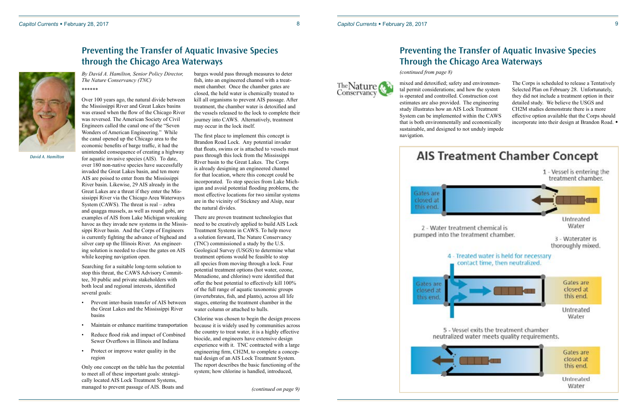The Nature



# **Preventing the Transfer of Aquatic Invasive Species through the Chicago Area Waterways**

*By David A. Hamilton, Senior Policy Director, The Nature Conservancy (TNC)*  \*\*\*\*\*\*

Over 100 years ago, the natural divide between the Mississippi River and Great Lakes basins was erased when the flow of the Chicago River was reversed. The American Society of Civil Engineers called the canal one of the "Seven Wonders of American Engineering." While the canal opened up the Chicago area to the economic benefits of barge traffic, it had the unintended consequence of creating a highway for aquatic invasive species (AIS). To date, over 180 non-native species have successfully invaded the Great Lakes basin, and ten more AIS are poised to enter from the Mississippi River basin. Likewise, 29 AIS already in the Great Lakes are a threat if they enter the Mis sissippi River via the Chicago Area Waterways System (CAWS). The threat is real – zebra and quagga mussels, as well as round gobi, are examples of AIS from Lake Michigan wreaking havoc as they invade new systems in the Missis sippi River basin. And the Corps of Engineers is currently fighting the advance of bighead and silver carp up the Illinois River. An engineer ing solution is needed to close the gates on AIS while keeping navigation open.

Searching for a suitable long-term solution to stop this threat, the CAWS Advisory Commit tee, 30 public and private stakeholders with both local and regional interests, identified several goals:

- Prevent inter-basin transfer of AIS between the Great Lakes and the Mississippi River basins
- Maintain or enhance maritime transportation
- Reduce flood risk and impact of Combined Sewer Overflows in Illinois and Indiana
- Protect or improve water quality in the region

Only one concept on the table has the potential to meet all of these important goals: strategi cally located AIS Lock Treatment Systems, managed to prevent passage of AIS. Boats and

The Corps is scheduled to release a Tentatively Selected Plan on February 28. Unfortunately, they did not include a treatment option in their detailed study. We believe the USGS and CH2M studies demonstrate there is a more effective option available that the Corps should incorporate into their design at Brandon Road. •

barges would pass through measures to deter fish, into an engineered channel with a treat ment chamber. Once the chamber gates are closed, the held water is chemically treated to kill all organisms to prevent AIS passage. After treatment, the chamber water is detoxified and the vessels released to the lock to complete their journey into CAWS. Alternatively, treatment may occur in the lock itself.

The first place to implement this concept is Brandon Road Lock. Any potential invader that floats, swims or is attached to vessels must pass through this lock from the Mississippi River basin to the Great Lakes. The Corps is already designing an engineered channel for that location, where this concept could be incorporated. To stop species from Lake Mich igan and avoid potential flooding problems, the most effective locations for two similar systems are in the vicinity of Stickney and Alsip, near the natural divides.

There are proven treatment technologies that need to be creatively applied to build AIS Lock Treatment Systems in CAWS. To help move a solution forward, The Nature Conservancy (TNC) commissioned a study by the U.S. Geological Survey (USGS) to determine what treatment options would be feasible to stop all species from moving through a lock. Four potential treatment options (hot water, ozone, Menadione, and chlorine) were identified that offer the best potential to effectively kill 100% of the full range of aquatic taxonomic groups (invertebrates, fish, and plants), across all life stages, entering the treatment chamber in the water column or attached to hulls.

Chlorine was chosen to begin the design process because it is widely used by communities across the country to treat water, it is a highly effective biocide, and engineers have extensive design experience with it. TNC contracted with a large engineering firm, CH2M, to complete a concep tual design of an AIS Lock Treatment System. The report describes the basic functioning of the system; how chlorine is handled, introduced,

*David A. Hamilton*

mixed and detoxified; safety and environmen tal permit considerations; and how the system is operated and controlled. Construction cost estimates are also provided. The engineering study illustrates how an AIS Lock Treatment System can be implemented within the CAWS that is both environmentally and economically sustainable, and designed to not unduly impede navigation.



# **Preventing the Transfer of Aquatic Invasive Species Through the Chicago Area Waterways**

*(continued from page 8)*

*(continued on page 9)*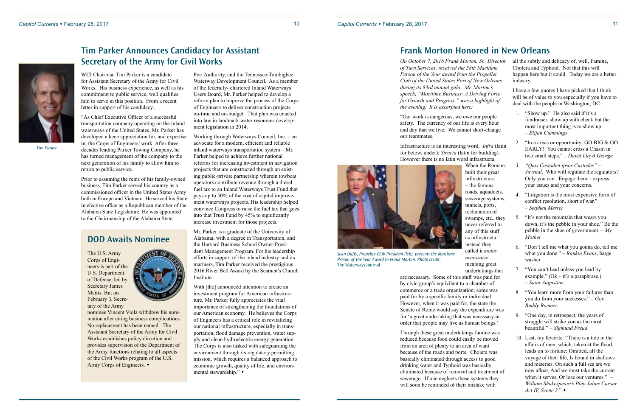WCI Chairman Tim Parker is a candidate for Assistant Secretary of the Army for Civil Works. His business experience, as well as his commitment to public service, well qualifies him to serve in this position. From a recent letter in support of his candidacy...

"As Chief Executive Officer of a successful transportation company operating on the inland waterways of the United States, Mr. Parker has developed a keen appreciation for, and expertise in, the Corps of Engineers' work. After three decades leading Parker Towing Company, he has turned management of the company to the next generation of his family to allow him to return to public service.

Prior to assuming the reins of his family-owned business, Tim Parker served his country as a commissioned officer in the United States Army both in Europe and Vietnam. He served his State in elective office as a Republican member of the Alabama State Legislature. He was appointed to the Chairmanship of the Alabama State

Port Authority, and the Tennessee-Tombigbee Waterway Development Council. As a member of the federally- chartered Inland Waterways Users Board, Mr. Parker helped to develop a reform plan to improve the process of the Corps of Engineers to deliver construction projects on-time and on-budget. That plan was enacted into law in landmark water resources development legislation in 2014.

Working through Waterways Council, Inc. – an advocate for a modern, efficient and reliable inland waterways transportation system – Mr. Parker helped to achieve further national reforms for increasing investment in navigation projects that are constructed through an existing public-private partnership wherein towboat operators contribute revenue through a diesel fuel tax to an Inland Waterways Trust Fund that pays up to 50% of the cost of capital improvement waterways projects. His leadership helped convince Congress to raise the fuel tax that goes into that Trust Fund by 45% to significantly increase investment for those projects.

Mr. Parker is a graduate of the University of Alabama, with a degree in Transportation, and the Harvard Business School Owner-President Management Program. For his leadership efforts in support of the inland industry and its mariners, Tim Parker received the prestigious 2016 River Bell Award by the Seamen's Church Institute.

With [the] announced intention to create an investment program for American infrastructure, Mr. Parker fully appreciates the vital importance of strengthening the foundations of our American economy. He believes the Corps of Engineers has a critical role in revitalizing our national infrastructure, especially in transportation, flood damage prevention, water supply and clean hydroelectric energy generation. The Corps is also tasked with safeguarding the environment through its regulatory permitting mission, which requires a balanced approach to economic growth, quality of life, and environmental stewardship." $\bullet$ 

- 1. "Show up." He also said if it's a fundraiser, show up with check but the most important thing is to show up. – *Elijah Cummings*
- 2. "In a crisis or opportunity: GO BIG & GO EARLY! You cannot cross a Chasm in two small steps." – *David Lloyd George*
- *3. "Quis Custodiet ipsos Custodes" Juvenal.* Who will regulate the regulators? Only you can. Engage them – express your issues and your concerns.
- 4. "Litigation is the most expensive form of conflict resolution, short of war." – *Stephen Merret*
- 5. "It's not the mountain that wears you down, it's the pebble in your shoe." Be the pebble in the shoe of government. – *My Mother*
- 6. "Don't tell me what you gonna do, tell me what you done." – *Rankin Evans*, barge washer
- 7. "You can't lead unless you lead by example." (Ok – it's a paraphrase.) – *Saint Augustine*
- 8. "You learn more from your failures than you do from your successes." – *Gov. Buddy Roemer*
- 9. "One day, in retrospect, the years of struggle will strike you as the most beautiful." – *Sigmund Freud*
- 10. Last, my favorite: "There is a tide in the affairs of men, which, taken at the flood, leads on to fortune: Omitted, all the voyage of their life, Is bound in shallows and miseries. On such a full sea are we now afloat, And we must take the current when it serves, Or lose our ventures." – *William Shakespeare's Play Julius Caesar Act IV, Scene 2.*" ◆

# **Frank Morton Honored in New Orleans**

*On October 7, 2016 Frank Morton, Sr., Director of Turn Services, received the 58th Maritime Person of the Year award from the Propeller Club of the United States Port of New Orleans during its 83rd annual gala. Mr. Morton's speech, "Maritime Business: A Driving Force for Growth and Progress," was a highlight of the evening. It is excerpted here:*

nominee Vincent Viola withdrew his nomination after citing business complications. No replacement has been named. The Assistant Secretary of the Army for Civil Works establishes policy direction and provides supervision of the Department of the Army functions relating to all aspects of the Civil Works program of the U.S. Army Corps of Engineers.  $\bullet$ 

"Our work is dangerous, we owe our people safety. The currency of our life is every hour and day that we live. We cannot short-change our teammates.

When the Romans built their great infrastructure – the famous roads, aquaducts, sewerage systems, tunnels, ports, reclamation of swamps, etc., they never referred to any of this stuff as infrastructa instead they called it *moles necessarie*  meaning great undertakings that



Infrastructure is an interesting word. *Infra* (latin for below, under); *Structa* (latin for building). However there is no latin word infrastructa. are necessary. Some of this stuff was paid for by civic group's equivilant to a chamber of commerce or a trade organization; some was paid for by a specific family or individual. However, when it was paid for, the state the Senate of Rome would say the expenditure was for 'a great undertaking that was necessary in order that people may live as human beings.'

Through these great undertakings famine was reduced because food could easily be moved from an area of plenty to an area of want because of the roads and ports. Cholera was basically eliminated through access to good drinking water and Typhoid was basically eliminated because of removal and treatment of sewerage. If one neglects these systems they will soon be reminded of their mistake with

all the subtly and delicacy of, well, Famine, Cholera and Typhoid. Not that this will happen here but it could. Today we are a better industry.

I have a few quotes I have picked that I think will be of value to you especially if you have to deal with the people in Washington, DC:

*Sean Duffy, Propeller Club President (left), presents the Maritime Person of the Year Award to Frank Morton. Photo credit:*  The Waterways Journal

## **Tim Parker Announces Candidacy for Assistant Secretary of the Army for Civil Works**



*Tim Parker* 

The U.S. Army Corps of Engineers is part of the U.S. Department of Defense, led by Secretary James Mattis. But on February 3, Secretary of the Army



# **DOD Awaits Nominee**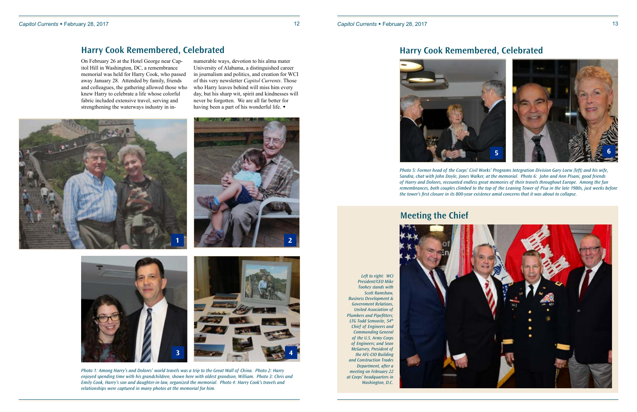

numerable ways, devotion to his alma mater University of Alabama, a distinguished career in journalism and politics, and creation for WCI of this very newsletter *Capitol Currents*. Those who Harry leaves behind will miss him every day, but his sharp wit, spirit and kindnesses will never be forgotten. We are all far better for having been a part of his wonderful life.  $\bullet$ 





*Photo 1: Among Harry's and Dolores' world travels was a trip to the Great Wall of China. Photo 2: Harry enjoyed spending time with his grandchildren, shown here with oldest grandson, William. Photo 3: Chris and Emily Cook, Harry's son and daughter-in-law, organized the memorial. Photo 4: Harry Cook's travels and relationships were captured in many photos at the memorial for him.* 



### **Harry Cook Remembered, Celebrated**

**1**

On February 26 at the Hotel George near Capitol Hill in Washington, DC, a remembrance memorial was held for Harry Cook, who passed away January 28. Attended by family, friends and colleagues, the gathering allowed those who knew Harry to celebrate a life whose colorful fabric included extensive travel, serving and strengthening the waterways industry in in-

*Photo 5: Former head of the Corps' Civil Works' Programs Integration Division Gary Loew (left) and his wife, Sandra, chat with John Doyle, Jones Walker, at the memorial. Photo 6: John and Ann Pisani, good friends of Harry and Dolores, recounted endless great memories of their travels throughout Europe. Among the fun remembrances, both couples climbed to the top of the Leaning Tower of Pisa in the late 1980s, just weeks before the tower's first closure in its 800-year existence amid concerns that it was about to collapse.*



### **Harry Cook Remembered, Celebrated**

*Left to right: WCI President/CEO Mike Toohey stands with Scott Ramshaw, Business Development & Government Relations, United Association of Plumbers and Pipefitters; LTG Todd Semonite, 54th Chief of Engineers and Commanding General of the U.S. Army Corps of Engineers; and Sean McGarvey, President of the AFL-CIO Building and Construction Trades Department, after a meeting on February 22 at Corps' headquarters in Washington, D.C.*



# **Meeting the Chief**